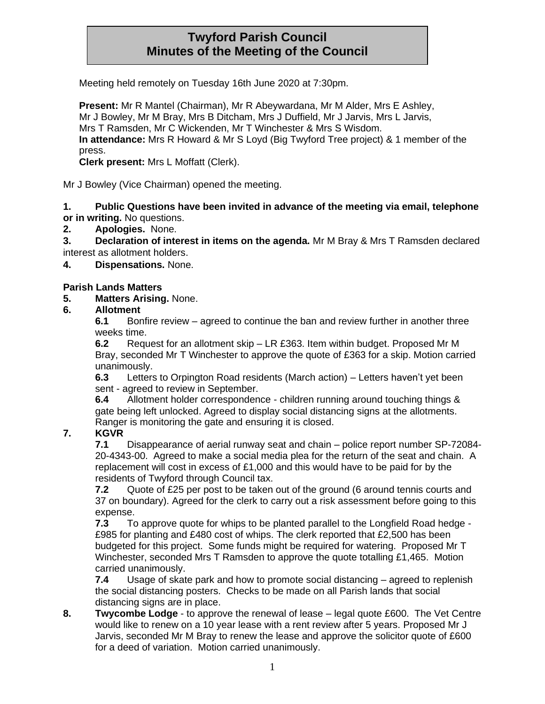# **Twyford Parish Council Minutes of the Meeting of the Council**

Meeting held remotely on Tuesday 16th June 2020 at 7:30pm.

**Present:** Mr R Mantel (Chairman), Mr R Abeywardana, Mr M Alder, Mrs E Ashley, Mr J Bowley, Mr M Bray, Mrs B Ditcham, Mrs J Duffield, Mr J Jarvis, Mrs L Jarvis, Mrs T Ramsden, Mr C Wickenden, Mr T Winchester & Mrs S Wisdom. **In attendance:** Mrs R Howard & Mr S Loyd (Big Twyford Tree project) & 1 member of the press.

**Clerk present:** Mrs L Moffatt (Clerk).

Mr J Bowley (Vice Chairman) opened the meeting.

**1. Public Questions have been invited in advance of the meeting via email, telephone or in writing.** No questions.

#### **2. Apologies.** None.

**3. Declaration of interest in items on the agenda.** Mr M Bray & Mrs T Ramsden declared interest as allotment holders.

**4. Dispensations.** None.

#### **Parish Lands Matters**

#### **5. Matters Arising.** None.

#### **6. Allotment**

**6.1** Bonfire review – agreed to continue the ban and review further in another three weeks time.

**6.2** Request for an allotment skip – LR £363. Item within budget. Proposed Mr M Bray, seconded Mr T Winchester to approve the quote of £363 for a skip. Motion carried unanimously.

**6.3** Letters to Orpington Road residents (March action) – Letters haven't yet been sent - agreed to review in September.

**6.4** Allotment holder correspondence - children running around touching things & gate being left unlocked. Agreed to display social distancing signs at the allotments. Ranger is monitoring the gate and ensuring it is closed.

## **7. KGVR**

**7.1** Disappearance of aerial runway seat and chain – police report number SP-72084- 20-4343-00. Agreed to make a social media plea for the return of the seat and chain. A replacement will cost in excess of £1,000 and this would have to be paid for by the residents of Twyford through Council tax.

**7.2** Quote of £25 per post to be taken out of the ground (6 around tennis courts and 37 on boundary). Agreed for the clerk to carry out a risk assessment before going to this expense.

**7.3** To approve quote for whips to be planted parallel to the Longfield Road hedge - £985 for planting and £480 cost of whips. The clerk reported that £2,500 has been budgeted for this project. Some funds might be required for watering. Proposed Mr T Winchester, seconded Mrs T Ramsden to approve the quote totalling £1,465. Motion carried unanimously.

**7.4** Usage of skate park and how to promote social distancing – agreed to replenish the social distancing posters. Checks to be made on all Parish lands that social distancing signs are in place.

**8. Twycombe Lodge** - to approve the renewal of lease – legal quote £600. The Vet Centre would like to renew on a 10 year lease with a rent review after 5 years. Proposed Mr J Jarvis, seconded Mr M Bray to renew the lease and approve the solicitor quote of £600 for a deed of variation. Motion carried unanimously.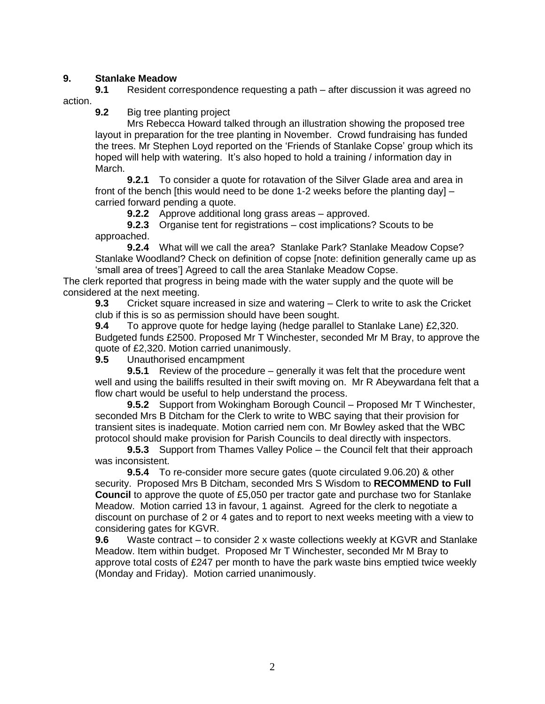## **9. Stanlake Meadow**

**9.1** Resident correspondence requesting a path – after discussion it was agreed no action.

**9.2** Big tree planting project

Mrs Rebecca Howard talked through an illustration showing the proposed tree layout in preparation for the tree planting in November. Crowd fundraising has funded the trees. Mr Stephen Loyd reported on the 'Friends of Stanlake Copse' group which its hoped will help with watering. It's also hoped to hold a training / information day in March.

**9.2.1** To consider a quote for rotavation of the Silver Glade area and area in front of the bench [this would need to be done 1-2 weeks before the planting day]  $$ carried forward pending a quote.

**9.2.2** Approve additional long grass areas – approved.

**9.2.3** Organise tent for registrations – cost implications? Scouts to be approached.

**9.2.4** What will we call the area? Stanlake Park? Stanlake Meadow Copse? Stanlake Woodland? Check on definition of copse [note: definition generally came up as 'small area of trees'] Agreed to call the area Stanlake Meadow Copse.

The clerk reported that progress in being made with the water supply and the quote will be considered at the next meeting.

**9.3** Cricket square increased in size and watering – Clerk to write to ask the Cricket club if this is so as permission should have been sought.

**9.4** To approve quote for hedge laying (hedge parallel to Stanlake Lane) £2,320. Budgeted funds £2500. Proposed Mr T Winchester, seconded Mr M Bray, to approve the quote of £2,320. Motion carried unanimously.

**9.5** Unauthorised encampment

**9.5.1** Review of the procedure – generally it was felt that the procedure went well and using the bailiffs resulted in their swift moving on. Mr R Abeywardana felt that a flow chart would be useful to help understand the process.

**9.5.2** Support from Wokingham Borough Council – Proposed Mr T Winchester, seconded Mrs B Ditcham for the Clerk to write to WBC saying that their provision for transient sites is inadequate. Motion carried nem con. Mr Bowley asked that the WBC protocol should make provision for Parish Councils to deal directly with inspectors.

**9.5.3** Support from Thames Valley Police – the Council felt that their approach was inconsistent.

**9.5.4** To re-consider more secure gates (quote circulated 9.06.20) & other security. Proposed Mrs B Ditcham, seconded Mrs S Wisdom to **RECOMMEND to Full Council** to approve the quote of £5,050 per tractor gate and purchase two for Stanlake Meadow. Motion carried 13 in favour, 1 against. Agreed for the clerk to negotiate a discount on purchase of 2 or 4 gates and to report to next weeks meeting with a view to considering gates for KGVR.

**9.6** Waste contract – to consider 2 x waste collections weekly at KGVR and Stanlake Meadow. Item within budget. Proposed Mr T Winchester, seconded Mr M Bray to approve total costs of £247 per month to have the park waste bins emptied twice weekly (Monday and Friday). Motion carried unanimously.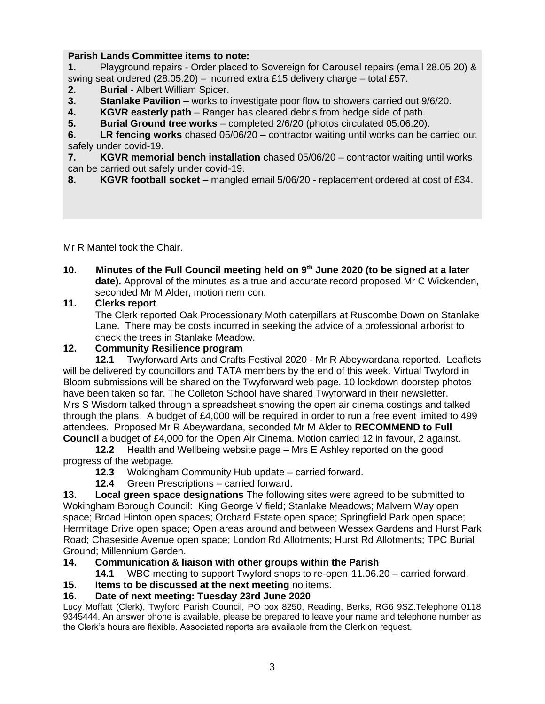# **Parish Lands Committee items to note:**

**1.** Playground repairs - Order placed to Sovereign for Carousel repairs (email 28.05.20) & swing seat ordered (28.05.20) – incurred extra £15 delivery charge – total £57.

- **2. Burial**  Albert William Spicer.
- **3. Stanlake Pavilion** works to investigate poor flow to showers carried out 9/6/20.
- **4. KGVR easterly path**  Ranger has cleared debris from hedge side of path.
- **5. Burial Ground tree works**  completed 2/6/20 (photos circulated 05.06.20).

**6. LR fencing works** chased 05/06/20 – contractor waiting until works can be carried out safely under covid-19.

**7. KGVR memorial bench installation** chased 05/06/20 – contractor waiting until works can be carried out safely under covid-19.

**8. KGVR football socket –** mangled email 5/06/20 - replacement ordered at cost of £34.

Mr R Mantel took the Chair.

**10. Minutes of the Full Council meeting held on 9th June 2020 (to be signed at a later date).** Approval of the minutes as a true and accurate record proposed Mr C Wickenden, seconded Mr M Alder, motion nem con.

## **11. Clerks report**

The Clerk reported Oak Processionary Moth caterpillars at Ruscombe Down on Stanlake Lane. There may be costs incurred in seeking the advice of a professional arborist to check the trees in Stanlake Meadow.

## **12. Community Resilience program**

**12.1** Twyforward Arts and Crafts Festival 2020 - Mr R Abeywardana reported. Leaflets will be delivered by councillors and TATA members by the end of this week. Virtual Twyford in Bloom submissions will be shared on the Twyforward web page. 10 lockdown doorstep photos have been taken so far. The Colleton School have shared Twyforward in their newsletter. Mrs S Wisdom talked through a spreadsheet showing the open air cinema costings and talked through the plans. A budget of £4,000 will be required in order to run a free event limited to 499 attendees. Proposed Mr R Abeywardana, seconded Mr M Alder to **RECOMMEND to Full Council** a budget of £4,000 for the Open Air Cinema. Motion carried 12 in favour, 2 against.

**12.2** Health and Wellbeing website page – Mrs E Ashley reported on the good progress of the webpage.

- **12.3** Wokingham Community Hub update carried forward.
- **12.4** Green Prescriptions carried forward.

**13. Local green space designations** The following sites were agreed to be submitted to Wokingham Borough Council: King George V field; Stanlake Meadows; Malvern Way open space; Broad Hinton open spaces; Orchard Estate open space; Springfield Park open space; Hermitage Drive open space; Open areas around and between Wessex Gardens and Hurst Park Road; Chaseside Avenue open space; London Rd Allotments; Hurst Rd Allotments; TPC Burial Ground; Millennium Garden.

## **14. Communication & liaison with other groups within the Parish**

**14.1** WBC meeting to support Twyford shops to re-open 11.06.20 – carried forward.

## **15. Items to be discussed at the next meeting** no items.

# **16. Date of next meeting: Tuesday 23rd June 2020**

Lucy Moffatt (Clerk), Twyford Parish Council, PO box 8250, Reading, Berks, RG6 9SZ.Telephone 0118 9345444. An answer phone is available, please be prepared to leave your name and telephone number as the Clerk's hours are flexible. Associated reports are available from the Clerk on request.